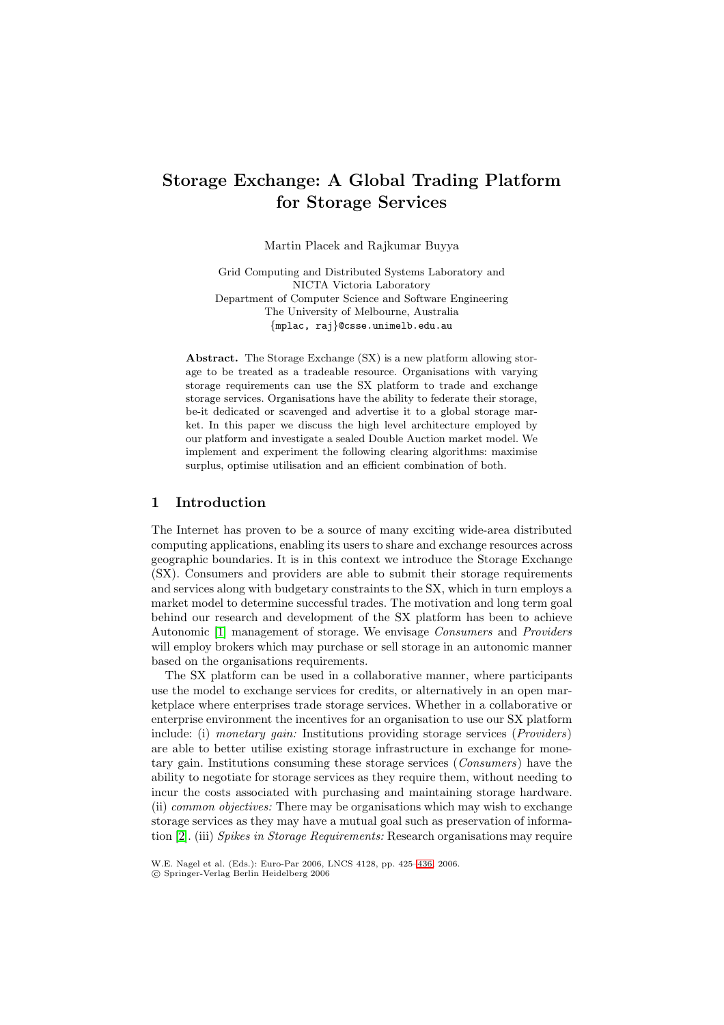# **Storage Exchange: A Global Trading Platform for Storage Services**

Martin Placek and Rajkumar Buyya

Grid Computing and Distributed Systems Laboratory and NICTA Victoria Laboratory Department of Computer Science and Software Engineering The University of Melbourne, Australia {mplac, raj}@csse.unimelb.edu.au

**Abstract.** The Storage Exchange (SX) is a new platform allowing storage to be treated as a tradeable resource. Organisations with varying storage requirements can use the SX platform to trade and exchange storage services. Organisations have the ability to federate their storage, be-it dedicated or scavenged and advertise it to a global storage market. In this paper we discuss the high level architecture employed by our platform and investigate a sealed Double Auction market model. We implement and experiment the following clearing algorithms: maximise surplus, optimise utilisation and an efficient combination of both.

### **1 Introduction**

The Internet has proven to be a source of many exciting wide-area distributed computing applications, enabling its users to share and exchange resources across geographic boundaries. It is in this context we introduce the Storage Exchange (SX). Consumers and providers are able to submit their storage requirements and services along with budgetary constraints to the SX, which in turn employs a market model to determine successful trades. The motivation and long term goal behind our research and development of the SX platform has been to achieve Autonomic [1] management of storage. We envisage Consumers and Providers will employ brokers which may purchase or sell storage in an autonomic manner based on the organisations requirements.

The SX platform can be used in a collaborative manner, where participants use the mod[el](#page-10-0) to exchange services for credits, or alternatively in an open marketplace where enterprises trade storage services. Whether in a collaborative or enterprise environment the incentives for an organisation to use our SX platform include: (i) monetary gain: Institutions providing storage services (*Providers*) are able to better utilise existing storage infrastructure in exchange for monetary gain. Institutions consuming these storage services (Consumers) have the ability to negotiate for storage services as they require them, without needing to incur the costs associated with purchasing and maintaining storage hardware. (ii) common objectives: There may be organisations which may wish to exchange storage services as they may have a mutual goal such as preservation of information [2]. (iii) Spikes in Storage Requirements: Research organisations may require

W.E. Nagel et al. (Eds.): Euro-Par 2006, LNCS 4128, pp. 425–436, 2006. -c Springer-Verlag Berlin Heidelberg 2006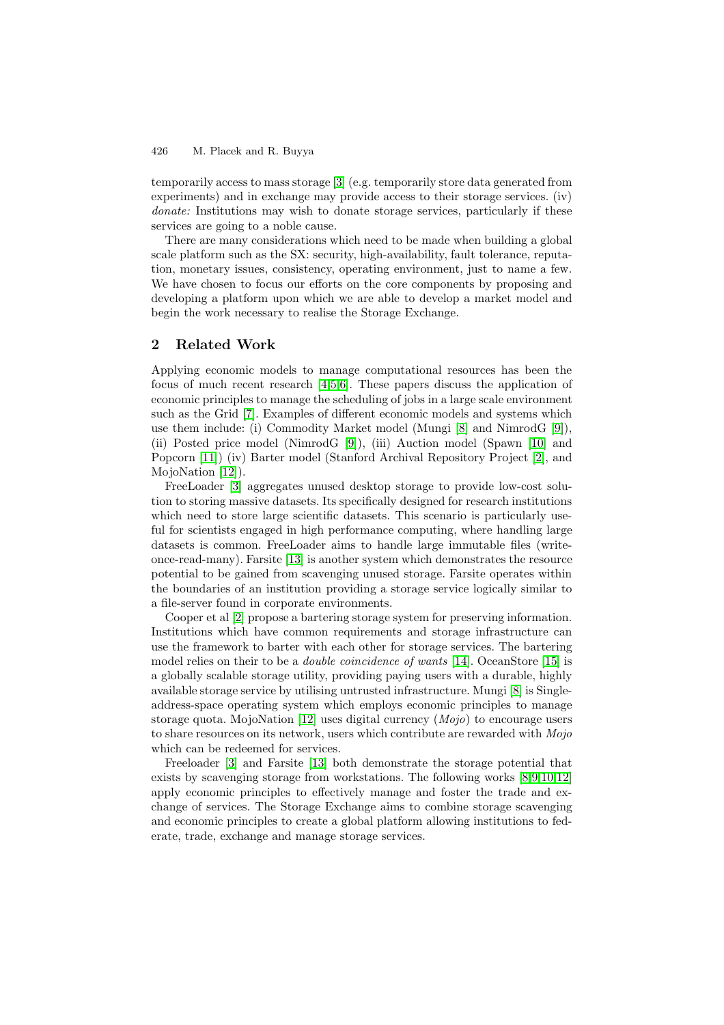#### 426 M. Placek and R. Buyya

temporarily access to mass storage [3] (e.g. temporarily store data generated from experiments) and in exchange may provide access to their storage services. (iv) donate: Institutions may wish to donate storage services, particularly if these services are going to a noble cause.

There are many considerations [wh](#page-10-1)ich need to be made when building a global scale platform such as the SX: security, high-availability, fault tolerance, reputation, monetary issues, consistency, operating environment, just to name a few. We have chosen to focus our efforts on the core components by proposing and developing a platform upon which we are able to develop a market model and begin the work necessary to realise the Storage Exchange.

## **2 Related Work**

Applying economic models to manage computational resources has been the focus of much recent research [4,5,6]. These papers discuss the application of economic principles to manage the scheduling of jobs in a large scale environment such as the Grid [7]. Examples of different economic models and systems which use them include: (i) Commodity Market model (Mungi [8] and NimrodG [9]), (ii) Posted price model (Nimr[od](#page-10-2)[G](#page-10-3) [\[](#page-10-4)9]), (iii) Auction model (Spawn [10] and Popcorn [11]) (iv) Barter model (Stanford Archival Repository Project [2], and MojoNation [12])[.](#page-10-5)

FreeLoader [3] aggregates unused desktop storage to [pr](#page-10-6)ovide low-cost s[olu](#page-10-7)tion to storing massive datasets. Its s[pe](#page-10-7)cifically designed for research ins[titu](#page-10-8)tions which ne[ed t](#page-10-9)o store large scientific datasets. This scenario is particula[rly](#page-10-10) useful for scient[ists](#page-10-11) engaged in high performance computing, where handling large datasets is co[mm](#page-10-1)on. FreeLoader aims to handle large immutable files (writeonce-read-many). Farsite [13] is another system which demonstrates the resource potential to be gained from scavenging unused storage. Farsite operates within the boundaries of an institution providing a storage service logically similar to a file-server found in corporate environments.

Cooper et al [2] propos[e a b](#page-10-12)artering storage system for preserving information. Institutions which have common requirements and storage infrastructure can use the framework to barter with each other for storage services. The bartering model relies on their to be a *double coincidence of wants* [14]. OceanStore [15] is a globally scala[bl](#page-10-10)e storage utility, providing paying users with a durable, highly available storage service by utilising untrusted infrastructure. Mungi [8] is Singleaddress-space operating system which employs economic principles to manage storage quota. M[ojo](#page-10-13)Nation [12] [use](#page-11-0)s digital currency  $(Mojo)$  to encourage users to share resources on its network, users which contribute are rewarded with  $Mojo$ which can be redeemed for services.

Freeloader [3] and Farsite [13] both demonstrate the storage potential that exists by scavenging storag[e fro](#page-10-11)m workstations. The following works [8,9,10,12] apply economic principles to effectively manage and foster the trade and exchange of services. The Storage Exchange aims to combine storage scavenging and economic [pr](#page-10-1)inciples to cr[eate](#page-10-12) a global platform allowing institutions to federate, trade, exchange and manage storage services.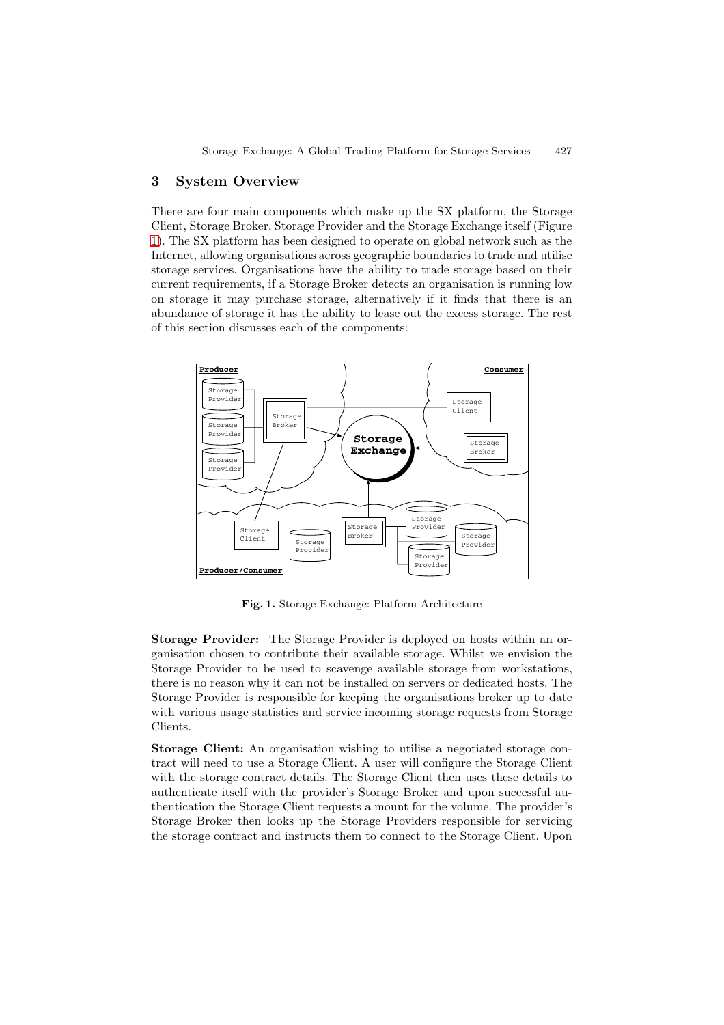# **3 System Overview**

There are four main components which make up the SX platform, the Storage Client, Storage Broker, Storage Provider and the Storage Exchange itself (Figure 1). The SX platform has been designed to operate on global network such as the Internet, allowing organisations across geographic boundaries to trade and utilise storage services. Organisations have the ability to trade storage based on their current requirements, if a Storage Broker detects an organisation is running low [on](#page-2-0) storage it may purchase storage, alternatively if it finds that there is an abundance of storage it has the ability to lease out the excess storage. The rest of this section discusses each of the components:



<span id="page-2-0"></span>**Fig. 1.** Storage Exchange: Platform Architecture

**Storage Provider:** The Storage Provider is deployed on hosts within an organisation chosen to contribute their available storage. Whilst we envision the Storage Provider to be used to scavenge available storage from workstations, there is no reason why it can not be installed on servers or dedicated hosts. The Storage Provider is responsible for keeping the organisations broker up to date with various usage statistics and service incoming storage requests from Storage Clients.

**Storage Client:** An organisation wishing to utilise a negotiated storage contract will need to use a Storage Client. A user will configure the Storage Client with the storage contract details. The Storage Client then uses these details to authenticate itself with the provider's Storage Broker and upon successful authentication the Storage Client requests a mount for the volume. The provider's Storage Broker then looks up the Storage Providers responsible for servicing the storage contract and instructs them to connect to the Storage Client. Upon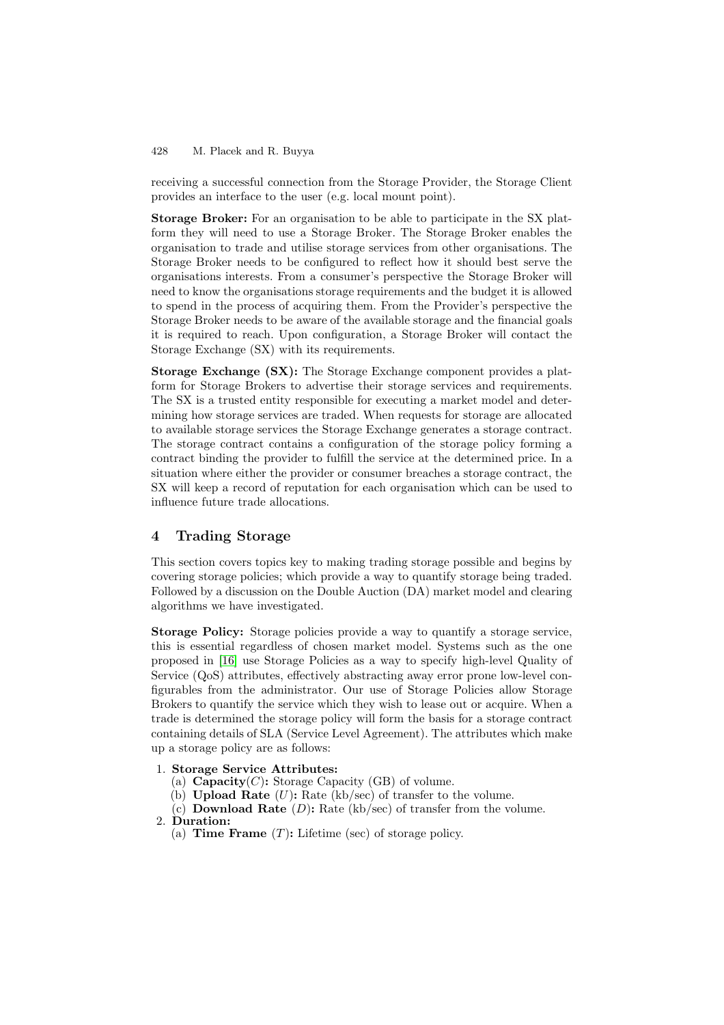#### 428 M. Placek and R. Buyya

receiving a successful connection from the Storage Provider, the Storage Client provides an interface to the user (e.g. local mount point).

**Storage Broker:** For an organisation to be able to participate in the SX platform they will need to use a Storage Broker. The Storage Broker enables the organisation to trade and utilise storage services from other organisations. The Storage Broker needs to be configured to reflect how it should best serve the organisations interests. From a consumer's perspective the Storage Broker will need to know the organisations storage requirements and the budget it is allowed to spend in the process of acquiring them. From the Provider's perspective the Storage Broker needs to be aware of the available storage and the financial goals it is required to reach. Upon configuration, a Storage Broker will contact the Storage Exchange (SX) with its requirements.

**Storage Exchange (SX):** The Storage Exchange component provides a platform for Storage Brokers to advertise their storage services and requirements. The SX is a trusted entity responsible for executing a market model and determining how storage services are traded. When requests for storage are allocated to available storage services the Storage Exchange generates a storage contract. The storage contract contains a configuration of the storage policy forming a contract binding the provider to fulfill the service at the determined price. In a situation where either the provider or consumer breaches a storage contract, the SX will keep a record of reputation for each organisation which can be used to influence future trade allocations.

# **4 Trading Storage**

This section covers topics key to making trading storage possible and begins by covering storage policies; which provide a way to quantify storage being traded. Followed by a discussion on the Double Auction (DA) market model and clearing algorithms we have investigated.

**Storage Policy:** Storage policies provide a way to quantify a storage service, this is essential regardless of chosen market model. Systems such as the one proposed in [16] use Storage Policies as a way to specify high-level Quality of Service (QoS) attributes, effectively abstracting away error prone low-level configurables from the administrator. Our use of Storage Policies allow Storage Brokers to quantify the service which they wish to lease out or acquire. When a trade is dete[rmi](#page-11-1)ned the storage policy will form the basis for a storage contract containing details of SLA (Service Level Agreement). The attributes which make up a storage policy are as follows:

- 1. **Storage Service Attributes:**
	- (a)  **Storage Capacity (GB) of volume.**
	- (b) **Upload Rate**  $(U)$ : Rate (kb/sec) of transfer to the volume.
	- (c) **Download Rate**  $(D)$ : Rate  $(kb/sec)$  of transfer from the volume.

### 2. **Duration:**

(a) **Time Frame**  $(T)$ : Lifetime (sec) of storage policy.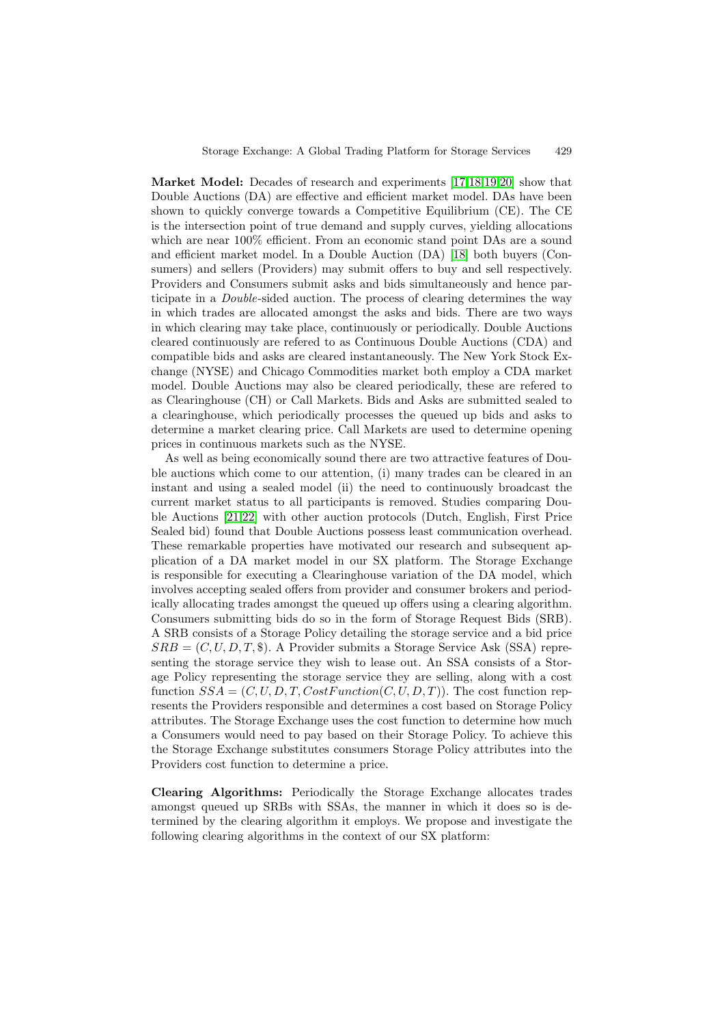**Market Model:** Decades of research and experiments [17,18,19,20] show that Double Auctions (DA) are effective and efficient market model. DAs have been shown to quickly converge towards a Competitive Equilibrium (CE). The CE is the intersection point of true demand and supply curves, yielding allocations which are near  $100\%$  efficient. From an economic stand [poi](#page-11-2)[nt](#page-11-3) [DA](#page-11-4)[s a](#page-11-5)re a sound and efficient market model. In a Double Auction (DA) [18] both buyers (Consumers) and sellers (Providers) may submit offers to buy and sell respectively. Providers and Consumers submit asks and bids simultaneously and hence participate in a Double-sided auction. The process of clearing determines the way in which trades are allocated amongst the asks and bid[s. T](#page-11-3)here are two ways in which clearing may take place, continuously or periodically. Double Auctions cleared continuously are refered to as Continuous Double Auctions (CDA) and compatible bids and asks are cleared instantaneously. The New York Stock Exchange (NYSE) and Chicago Commodities market both employ a CDA market model. Double Auctions may also be cleared periodically, these are refered to as Clearinghouse (CH) or Call Markets. Bids and Asks are submitted sealed to a clearinghouse, which periodically processes the queued up bids and asks to determine a market clearing price. Call Markets are used to determine opening prices in continuous markets such as the NYSE.

As well as being economically sound there are two attractive features of Double auctions which come to our attention, (i) many trades can be cleared in an instant and using a sealed model (ii) the need to continuously broadcast the current market status to all participants is removed. Studies comparing Double Auctions [21,22] with other auction protocols (Dutch, English, First Price Sealed bid) found that Double Auctions possess least communication overhead. These remarkable properties have motivated our research and subsequent application of a DA market model in our SX platform. The Storage Exchange is responsible [for](#page-11-6) [ex](#page-11-7)ecuting a Clearinghouse variation of the DA model, which involves accepting sealed offers from provider and consumer brokers and periodically allocating trades amongst the queued up offers using a clearing algorithm. Consumers submitting bids do so in the form of Storage Request Bids (SRB). A SRB consists of a Storage Policy detailing the storage service and a bid price  $SRB = (C, U, D, T, \text{\$})$ . A Provider submits a Storage Service Ask (SSA) representing the storage service they wish to lease out. An SSA consists of a Storage Policy representing the storage service they are selling, along with a cost function  $SSA = (C, U, D, T, CostFunction(C, U, D, T))$ . The cost function represents the Providers responsible and determines a cost based on Storage Policy attributes. The Storage Exchange uses the cost function to determine how much a Consumers would need to pay based on their Storage Policy. To achieve this the Storage Exchange substitutes consumers Storage Policy attributes into the Providers cost function to determine a price.

**Clearing Algorithms:** Periodically the Storage Exchange allocates trades amongst queued up SRBs with SSAs, the manner in which it does so is determined by the clearing algorithm it employs. We propose and investigate the following clearing algorithms in the context of our SX platform: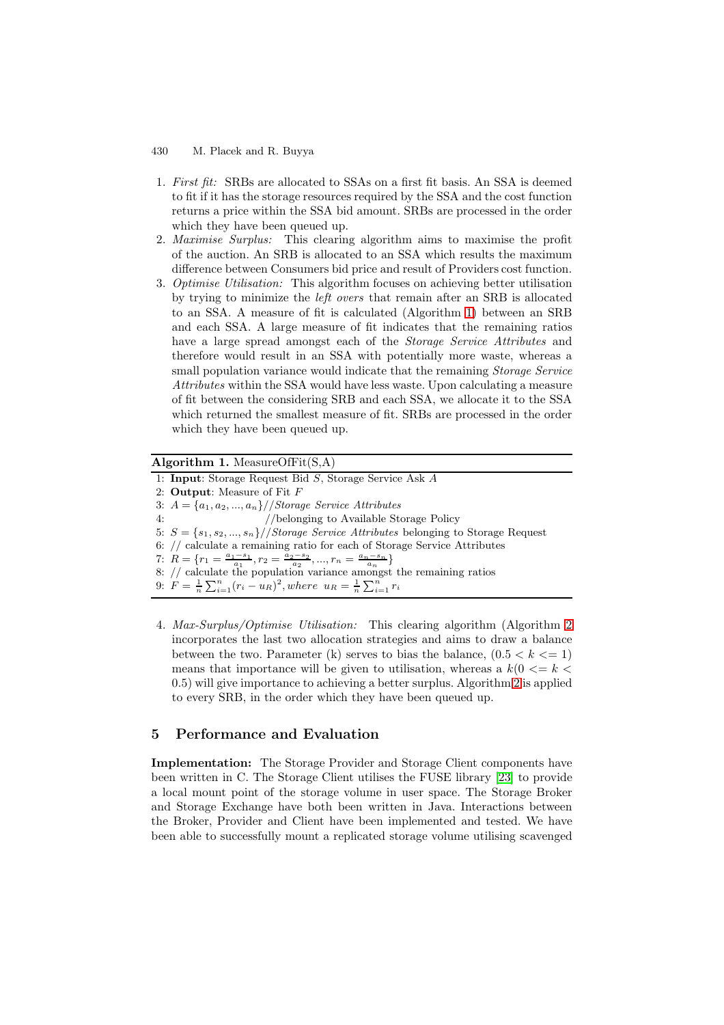- 430 M. Placek and R. Buyya
- 1. First fit: SRBs are allocated to SSAs on a first fit basis. An SSA is deemed to fit if it has the storage resources required by the SSA and the cost function returns a price within the SSA bid amount. SRBs are processed in the order which they have been queued up.
- 2. Maximise Surplus: This clearing algorithm aims to maximise the profit of the auction. An SRB is allocated to an SSA which results the maximum difference between Consumers bid price and result of Providers cost function.
- 3. Optimise Utilisation: This algorithm focuses on achieving better utilisation by trying to minimize the left overs that remain after an SRB is allocated to an SSA. A measure of fit is calculated (Algorithm 1) between an SRB and each SSA. A large measure of fit indicates that the remaining ratios have a large spread amongst each of the *Storage Service Attributes* and therefore would result in an SSA with potentially more waste, whereas a small population variance would indicate that the rema[ini](#page-5-0)ng *Storage Service* Attributes within the SSA would have less waste. Upon calculating a measure of fit between the considering SRB and each SSA, we allocate it to the SSA which returned the smallest measure of fit. SRBs are processed in the order which they have been queued up.

**Algorithm 1.** MeasureOfFit(S,A)

<span id="page-5-0"></span>1: **Input**: Storage Request Bid S, Storage Service Ask A 2: **Output**: Measure of Fit F 3:  $A = \{a_1, a_2, ..., a_n\} // Storage Service Attributes$ 4: //belonging to Available Storage Policy 5:  $S = \{s_1, s_2, ..., s_n\} / \delta$  Storage Service Attributes belonging to Storage Request 6: // calculate a remaining ratio for each of Storage Service Attributes 7:  $R = \{r_1 = \frac{a_1 - s_1}{a_1}, r_2 = \frac{a_2 - s_2}{a_2}, ..., r_n = \frac{a_n - s_n}{a_n}\}$ 8:  $\frac{1}{2}$  calculate the population variance amongst the remaining ratios 9:  $F = \frac{1}{n} \sum_{i=1}^{n} (r_i - u_R)^2$ , where  $u_R = \frac{1}{n} \sum_{i=1}^{n} r_i$ 

4. Max-Surplus/Optimise Utilisation: This clearing algorithm (Algorithm 2 incorporates the last two allocation strategies and aims to draw a balance between the two. Parameter (k) serves to bias the balance,  $(0.5 < k < 1)$ means that importance will be given to utilisation, whereas a  $k(0 \leq k \leq$ 0.5) will give importance to achieving a better surplus. Algorithm 2 is appli[ed](#page-6-0) to every SRB, in the order which they have been queued up.

### **5 Performance and Evaluation**

**Implementation:** The Storage Provider and Storage Client components have been written in C. The Storage Client utilises the FUSE library [23] to provide a local mount point of the storage volume in user space. The Storage Broker and Storage Exchange have both been written in Java. Interactions between the Broker, Provider and Client have been implemented and tested. We have been able to successfully mount a replicated storage volume utili[sing](#page-11-8) scavenged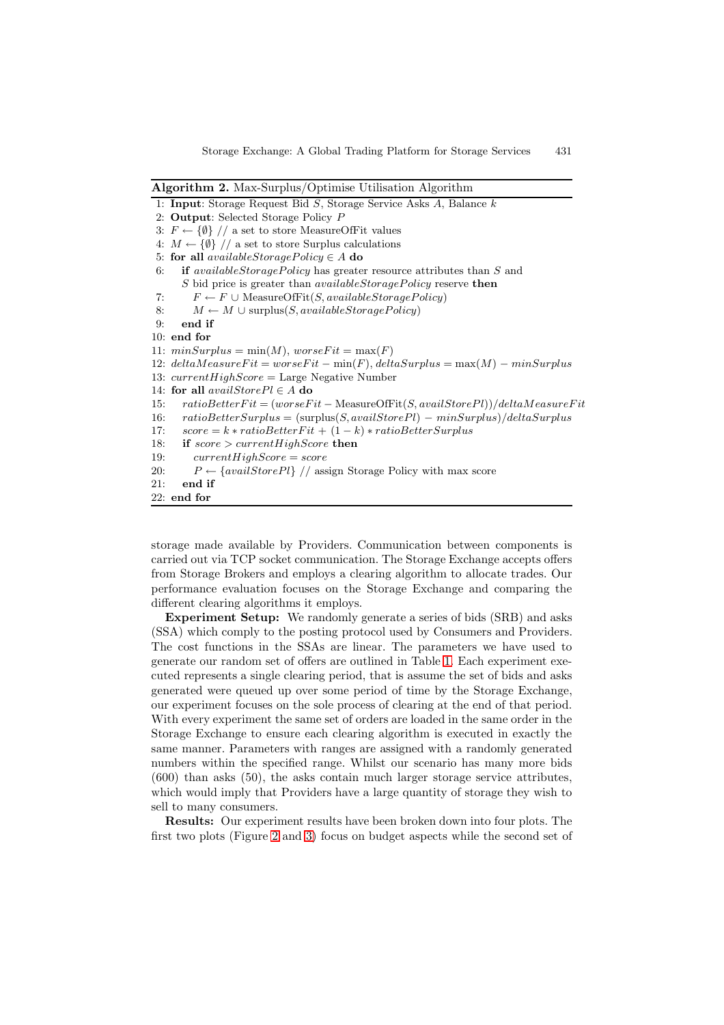**Algorithm 2.** Max-Surplus/Optimise Utilisation Algorithm

|  |  |  |  |  |  |  |  |  |  | 1: Input: Storage Request Bid $S$ , Storage Service Asks $A$ , Balance $k$ |  |
|--|--|--|--|--|--|--|--|--|--|----------------------------------------------------------------------------|--|
|--|--|--|--|--|--|--|--|--|--|----------------------------------------------------------------------------|--|

<sup>2:</sup> **Output**: Selected Storage Policy P

5: **for all**  $availableStoragePolicy \in A$  **do** 

```
6: if availableStoragePolicy has greater resource attributes than S and
     S bid price is greater than availableStoragePolicy reserve then
```

```
7: F \leftarrow F \cup MeasureOfFit(S, availableStorage Policy)
```
8:  $M \leftarrow M \cup \text{surplus}(S, availableStoragePolicy)$ 

```
9: end if
```

```
10: end for
```
11:  $minSurplus = min(M)$ ,  $worseFit = max(F)$ 

```
12: deltaMeasureFit = worseFit – min(F), deltaSurplus = max(M) – minSurplus
```

```
13: currentHighScore = Large Negative Number
```
14: **for all**  $availableForePl \in A$  **do** 

```
15: ratioBetterFit = (worseFit − MeasureOfFit(S, availStorePl))/deltaMeasureFit
```

```
16: ratioBetterSurplus = (surplus(S,availStorePl) - minSurplus)/deltaSurplus
```

```
17: score = k * ratio BetterFit + (1 - k) * ratio BetterSurplus
```

```
18: if score > currentHighScore then
```
- 19:  $currentHighScore = score$
- 20:  $P \leftarrow \{available\}$  // assign Storage Policy with max score

```
21: end if
22: end for
```
storage made available by Providers. Communication between components is carried out via TCP socket communication. The Storage Exchange accepts offers from Storage Brokers and employs a clearing algorithm to allocate trades. Our performance evaluation focuses on the Storage Exchange and comparing the different clearing algorithms it employs.

**Experiment Setup:** We randomly generate a series of bids (SRB) and asks (SSA) which comply to the posting protocol used by Consumers and Providers. The cost functions in the SSAs are linear. The parameters we have used to generate our random set of offers are outlined in Table 1. Each experiment executed represents a single clearing period, that is assume the set of bids and asks generated were queued up over some period of time by the Storage Exchange, our experiment focuses on the sole process of clearing at the end of that period. With every experiment the same set of orders are loade[d i](#page-7-0)n the same order in the Storage Exchange to ensure each clearing algorithm is executed in exactly the same manner. Parameters with ranges are assigned with a randomly generated numbers within the specified range. Whilst our scenario has many more bids (600) than asks (50), the asks contain much larger storage service attributes, which would imply that Providers have a large quantity of storage they wish to sell to many consumers.

**Results:** Our experiment results have been broken down into four plots. The first two plots (Figure 2 and 3) focus on budget aspects while the second set of

<sup>3:</sup>  $F \leftarrow \{\emptyset\}$  // a set to store MeasureOfFit values

<span id="page-6-0"></span><sup>4:</sup>  $M \leftarrow \{\emptyset\}$  // a set to store Surplus calculations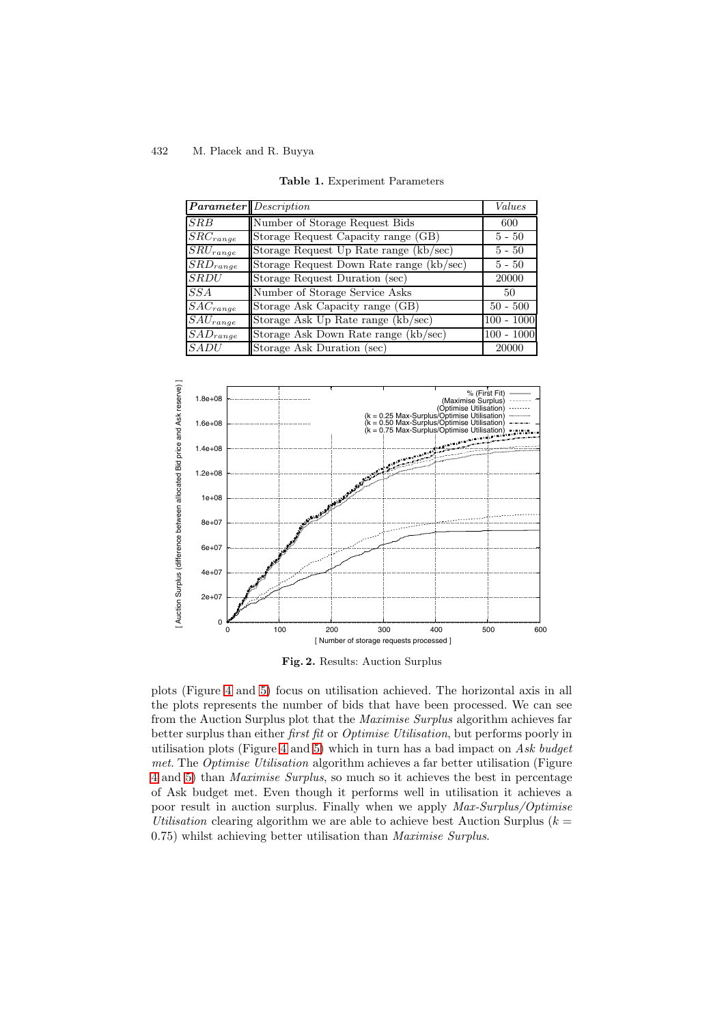<span id="page-7-0"></span>

| <b>Parameter</b> Description |                                          | Values       |
|------------------------------|------------------------------------------|--------------|
| SRB                          | Number of Storage Request Bids           | 600          |
| $\overline{S}RC_{range}$     | Storage Request Capacity range (GB)      | $5 - 50$     |
| $SRU_{range}$                | Storage Request Up Rate range (kb/sec)   | $5 - 50$     |
| $\overline{SRD}_{range}$     | Storage Request Down Rate range (kb/sec) | $5 - 50$     |
| <b>SRDU</b>                  | Storage Request Duration (sec)           | 20000        |
| SS A                         | Number of Storage Service Asks           | 50           |
| $\overline{S}AC_{range}$     | Storage Ask Capacity range (GB)          | $50 - 500$   |
| $SAU_{range}$                | Storage Ask Up Rate range (kb/sec)       | $100 - 1000$ |
| $\overline{SAD}_{range}$     | Storage Ask Down Rate range (kb/sec)     | $100 - 1000$ |
| SADU                         | Storage Ask Duration (sec)               | 20000        |

**Table 1.** Experiment Parameters



**Fig. 2.** Results: Auction Surplus

plots (Figure 4 and 5) focus on utilisation achieved. The horizontal axis in all the plots represents the number of bids that have been processed. We can see from the Auction Surplus plot that the Maximise Surplus algorithm achieves far better surplus than either first fit or Optimise Utilisation, but performs poorly in utilisation pl[ots](#page-8-0) (Fi[gur](#page-9-0)e 4 and 5) which in turn has a bad impact on Ask budget met. The Optimise Utilisation algorithm achieves a far better utilisation (Figure 4 and 5) than Maximise Surplus, so much so it achieves the best in percentage of Ask budget met. Even though it performs well in utilisation it achieves a poor result in auction [sur](#page-8-0)plu[s.](#page-9-0) Finally when we apply Max-Surplus/Optimise Utilisation clearing algorithm we are able to achieve best Auction Surplus  $(k =$ [0](#page-8-0).75) [wh](#page-9-0)ilst achieving better utilisation than Maximise Surplus.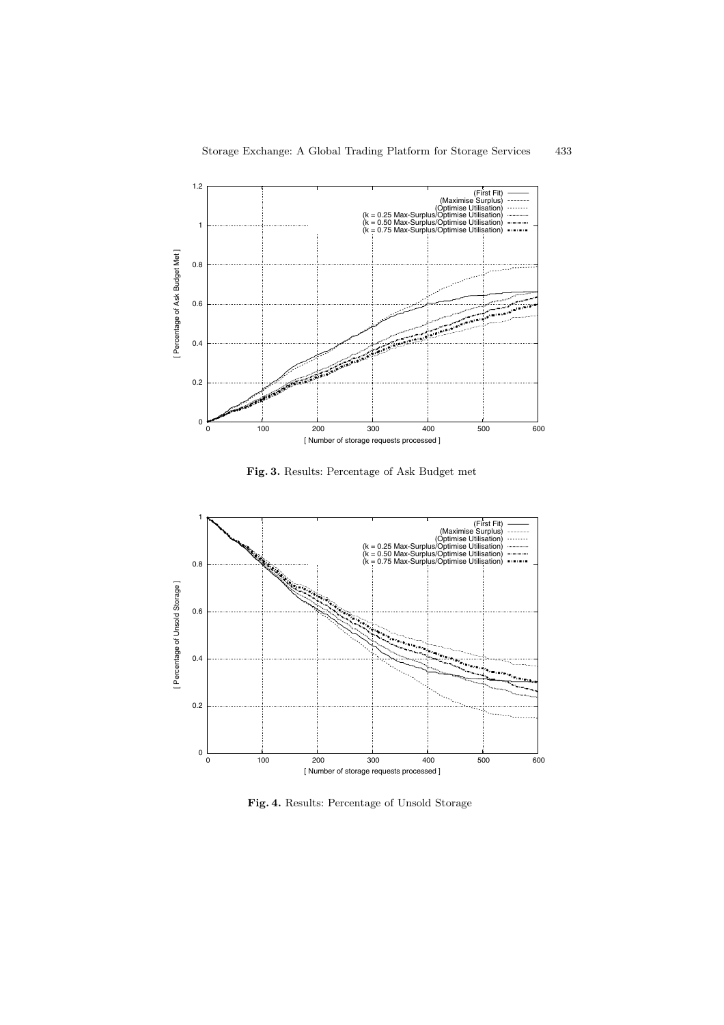

Storage Exchange: A Global Trading Platform for Storage Services 433

<span id="page-8-0"></span>**Fig. 3.** Results: Percentage of Ask Budget met



**Fig. 4.** Results: Percentage of Unsold Storage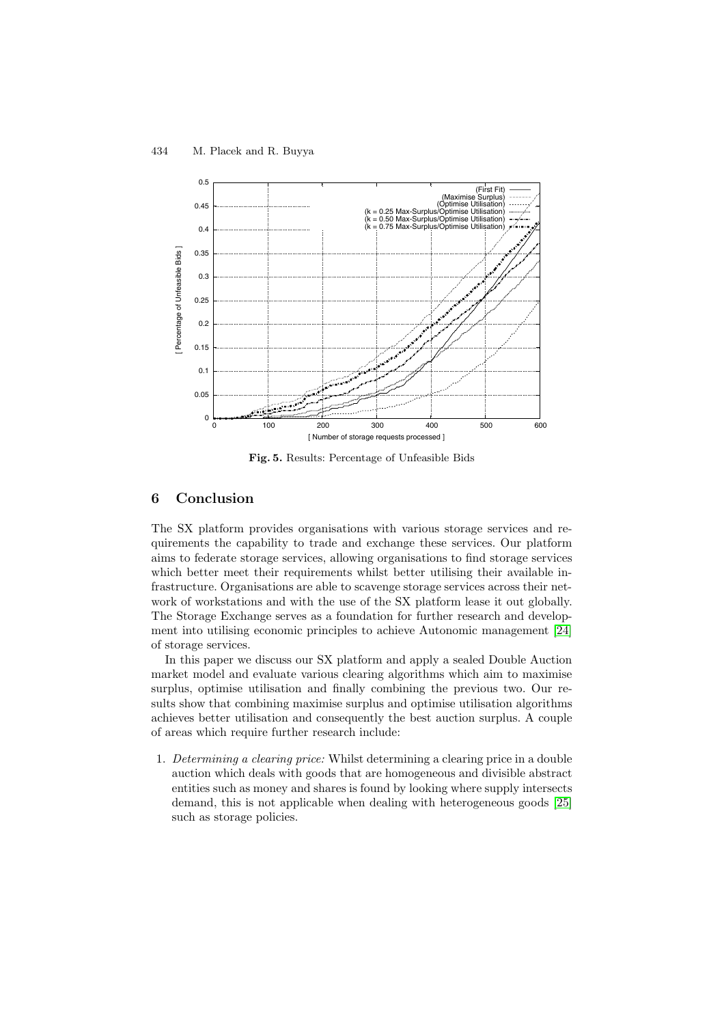<span id="page-9-0"></span>

**Fig. 5.** Results: Percentage of Unfeasible Bids

# **6 Conclusion**

The SX platform provides organisations with various storage services and requirements the capability to trade and exchange these services. Our platform aims to federate storage services, allowing organisations to find storage services which better meet their requirements whilst better utilising their available infrastructure. Organisations are able to scavenge storage services across their network of workstations and with the use of the SX platform lease it out globally. The Storage Exchange serves as a foundation for further research and development into utilising economic principles to achieve Autonomic management [24] of storage services.

In this paper we discuss our SX platform and apply a sealed Double Auction market model and evaluate various clearing algorithms which aim to maximise surplus, optimise utilisation and finally combining the previous two. Our [re](#page-11-9)sults show that combining maximise surplus and optimise utilisation algorithms achieves better utilisation and consequently the best auction surplus. A couple of areas which require further research include:

1. Determining a clearing price: Whilst determining a clearing price in a double auction which deals with goods that are homogeneous and divisible abstract entities such as money and shares is found by looking where supply intersects demand, this is not applicable when dealing with heterogeneous goods [25] such as storage policies.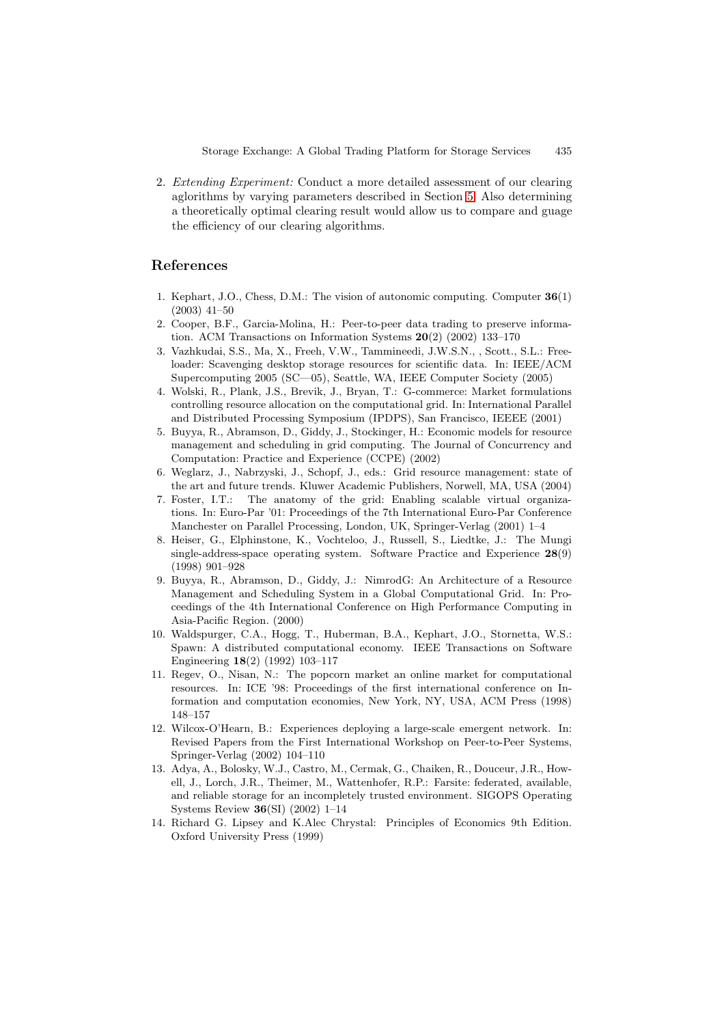2. Extending Experiment: Conduct a more detailed assessment of our clearing aglorithms by varying parameters described in Section 5. Also determining a theoretically optimal clearing result would allow us to compare and guage the efficiency of our clearing algorithms.

### **References**

- 1. Kephart, J.O., Chess, D.M.: The vision of autonomic computing. Computer **36**(1) (2003) 41–50
- 2. Cooper, B.F., Garcia-Molina, H.: Peer-to-peer data trading to preserve information. ACM Transactions on Information Systems **20**(2) (2002) 133–170
- <span id="page-10-0"></span>3. Vazhkudai, S.S., Ma, X., Freeh, V.W., Tammineedi, J.W.S.N., , Scott., S.L.: Freeloader: Scavenging desktop storage resources for scientific data. In: IEEE/ACM Supercomputing 2005 (SC—05), Seattle, WA, IEEE Computer Society (2005)
- <span id="page-10-10"></span><span id="page-10-1"></span>4. Wolski, R., Plank, J.S., Brevik, J., Bryan, T.: G-commerce: Market formulations controlling resource allocation on the computational grid. In: International Parallel and Distributed Processing Symposium (IPDPS), San Francisco, IEEEE (2001)
- <span id="page-10-2"></span>5. Buyya, R., Abramson, D., Giddy, J., Stockinger, H.: Economic models for resource management and scheduling in grid computing. The Journal of Concurrency and Computation: Practice and Experience (CCPE) (2002)
- <span id="page-10-3"></span>6. Weglarz, J., Nabrzyski, J., Schopf, J., eds.: Grid resource management: state of the art and future trends. Kluwer Academic Publishers, Norwell, MA, USA (2004)
- 7. Foster, I.T.: The anatomy of the grid: Enabling scalable virtual organizations. In: Euro-Par '01: Proceedings of the 7th International Euro-Par Conference Manchester on Parallel Processing, London, UK, Springer-Verlag (2001) 1–4
- <span id="page-10-5"></span><span id="page-10-4"></span>8. Heiser, G., Elphinstone, K., Vochteloo, J., Russell, S., Liedtke, J.: The Mungi single-address-space operating system. Software Practice and Experience **28**(9) (1998) 901–928
- <span id="page-10-6"></span>9. Buyya, R., Abramson, D., Giddy, J.: NimrodG: An Architecture of a Resource Management and Scheduling System in a Global Computational Grid. In: Proceedings of the 4th International Conference on High Performance Computing in Asia-Pacific Region. (2000)
- <span id="page-10-7"></span>10. Waldspurger, C.A., Hogg, T., Huberman, B.A., Kephart, J.O., Stornetta, W.S.: Spawn: A distributed computational economy. IEEE Transactions on Software Engineering **18**(2) (1992) 103–117
- <span id="page-10-8"></span>11. Regev, O., Nisan, N.: The popcorn market an online market for computational resources. In: ICE '98: Proceedings of the first international conference on Information and computation economies, New York, NY, USA, ACM Press (1998) 148–157
- <span id="page-10-9"></span>12. Wilcox-O'Hearn, B.: Experiences deploying a large-scale emergent network. In: Revised Papers from the First International Workshop on Peer-to-Peer Systems, Springer-Verlag (2002) 104–110
- <span id="page-10-11"></span>13. Adya, A., Bolosky, W.J., Castro, M., Cermak, G., Chaiken, R., Douceur, J.R., Howell, J., Lorch, J.R., Theimer, M., Wattenhofer, R.P.: Farsite: federated, available, and reliable storage for an incompletely trusted environment. SIGOPS Operating Systems Review **36**(SI) (2002) 1–14
- <span id="page-10-13"></span><span id="page-10-12"></span>14. Richard G. Lipsey and K.Alec Chrystal: Principles of Economics 9th Edition. Oxford University Press (1999)